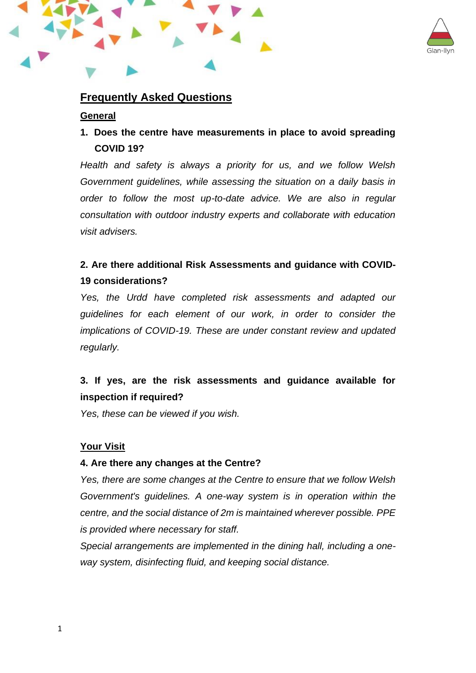

# **Frequently Asked Questions**

### **General**

# **1. Does the centre have measurements in place to avoid spreading COVID 19?**

*Health and safety is always a priority for us, and we follow Welsh Government guidelines, while assessing the situation on a daily basis in order to follow the most up-to-date advice. We are also in regular consultation with outdoor industry experts and collaborate with education visit advisers.*

# **2. Are there additional Risk Assessments and guidance with COVID-19 considerations?**

*Yes, the Urdd have completed risk assessments and adapted our guidelines for each element of our work, in order to consider the implications of COVID-19. These are under constant review and updated regularly.* 

# **3. If yes, are the risk assessments and guidance available for inspection if required?**

*Yes, these can be viewed if you wish.*

### **Your Visit**

### **4. Are there any changes at the Centre?**

*Yes, there are some changes at the Centre to ensure that we follow Welsh Government's guidelines. A one-way system is in operation within the centre, and the social distance of 2m is maintained wherever possible. PPE is provided where necessary for staff.*

*Special arrangements are implemented in the dining hall, including a oneway system, disinfecting fluid, and keeping social distance.*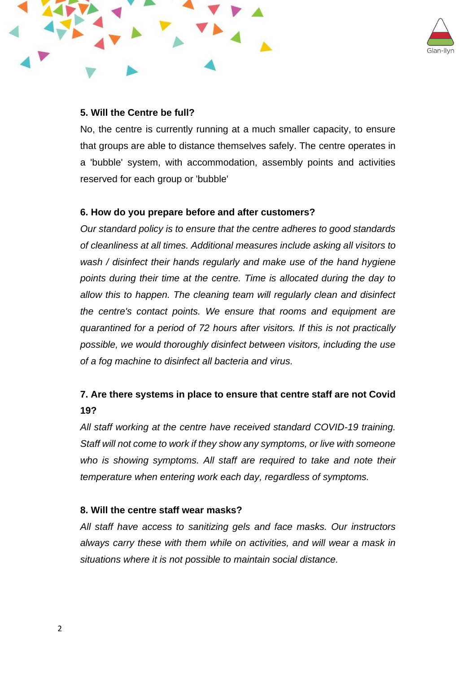



### **5. Will the Centre be full?**

No, the centre is currently running at a much smaller capacity, to ensure that groups are able to distance themselves safely. The centre operates in a 'bubble' system, with accommodation, assembly points and activities reserved for each group or 'bubble'

### **6. How do you prepare before and after customers?**

*Our standard policy is to ensure that the centre adheres to good standards of cleanliness at all times. Additional measures include asking all visitors to wash / disinfect their hands regularly and make use of the hand hygiene points during their time at the centre. Time is allocated during the day to allow this to happen. The cleaning team will regularly clean and disinfect the centre's contact points. We ensure that rooms and equipment are quarantined for a period of 72 hours after visitors. If this is not practically possible, we would thoroughly disinfect between visitors, including the use of a fog machine to disinfect all bacteria and virus.*

# **7. Are there systems in place to ensure that centre staff are not Covid 19?**

*All staff working at the centre have received standard COVID-19 training. Staff will not come to work if they show any symptoms, or live with someone who is showing symptoms. All staff are required to take and note their temperature when entering work each day, regardless of symptoms.*

### **8. Will the centre staff wear masks?**

*All staff have access to sanitizing gels and face masks. Our instructors always carry these with them while on activities, and will wear a mask in situations where it is not possible to maintain social distance.*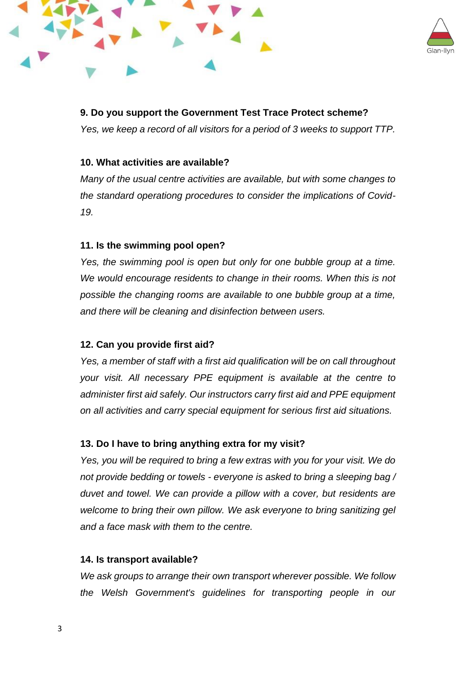



# **9. Do you support the Government Test Trace Protect scheme?**

*Yes, we keep a record of all visitors for a period of 3 weeks to support TTP.*

### **10. What activities are available?**

*Many of the usual centre activities are available, but with some changes to the standard operationg procedures to consider the implications of Covid-19.*

## **11. Is the swimming pool open?**

*Yes, the swimming pool is open but only for one bubble group at a time. We would encourage residents to change in their rooms. When this is not possible the changing rooms are available to one bubble group at a time, and there will be cleaning and disinfection between users.*

## **12. Can you provide first aid?**

*Yes, a member of staff with a first aid qualification will be on call throughout your visit. All necessary PPE equipment is available at the centre to administer first aid safely. Our instructors carry first aid and PPE equipment on all activities and carry special equipment for serious first aid situations.*

## **13. Do I have to bring anything extra for my visit?**

*Yes, you will be required to bring a few extras with you for your visit. We do not provide bedding or towels - everyone is asked to bring a sleeping bag / duvet and towel. We can provide a pillow with a cover, but residents are welcome to bring their own pillow. We ask everyone to bring sanitizing gel and a face mask with them to the centre.*

### **14. Is transport available?**

*We ask groups to arrange their own transport wherever possible. We follow the Welsh Government's guidelines for transporting people in our*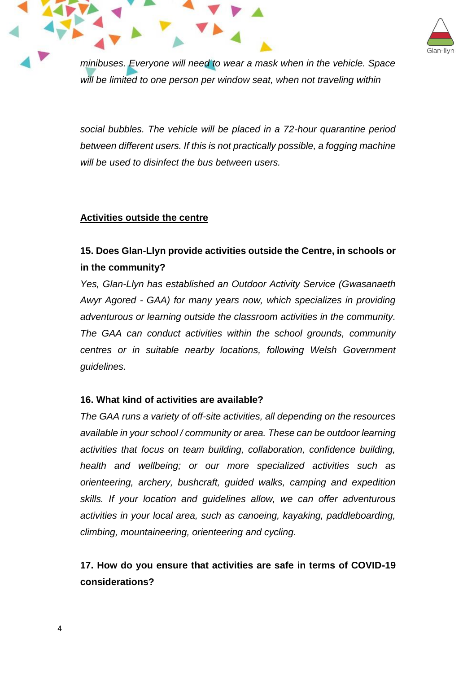

*minibuses. Everyone will need to wear a mask when in the vehicle. Space will be limited to one person per window seat, when not traveling within* 

*social bubbles. The vehicle will be placed in a 72-hour quarantine period between different users. If this is not practically possible, a fogging machine will be used to disinfect the bus between users.*

### **Activities outside the centre**

# **15. Does Glan-Llyn provide activities outside the Centre, in schools or in the community?**

*Yes, Glan-Llyn has established an Outdoor Activity Service (Gwasanaeth Awyr Agored - GAA) for many years now, which specializes in providing adventurous or learning outside the classroom activities in the community. The GAA can conduct activities within the school grounds, community centres or in suitable nearby locations, following Welsh Government guidelines.*

### **16. What kind of activities are available?**

*The GAA runs a variety of off-site activities, all depending on the resources available in your school / community or area. These can be outdoor learning activities that focus on team building, collaboration, confidence building, health and wellbeing; or our more specialized activities such as orienteering, archery, bushcraft, guided walks, camping and expedition skills. If your location and guidelines allow, we can offer adventurous activities in your local area, such as canoeing, kayaking, paddleboarding, climbing, mountaineering, orienteering and cycling.*

# **17. How do you ensure that activities are safe in terms of COVID-19 considerations?**